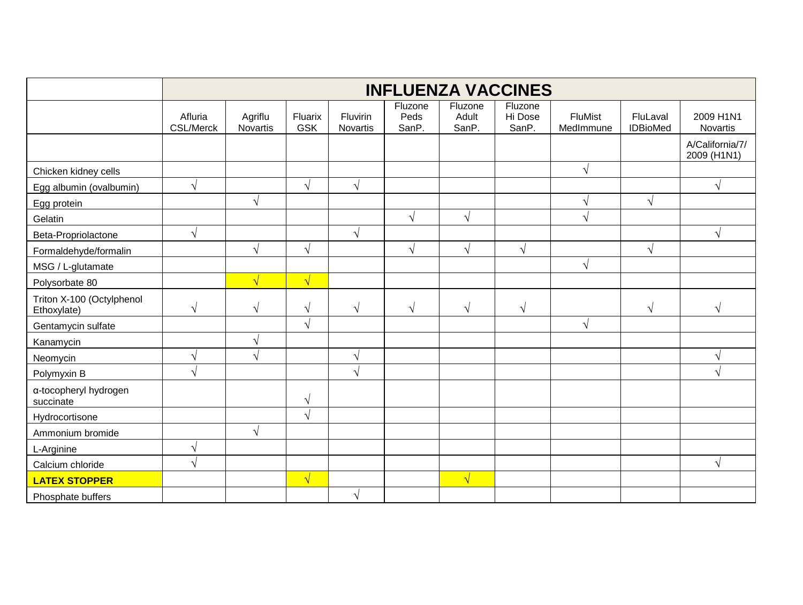|                                          | <b>INFLUENZA VACCINES</b>   |                            |                       |                      |                          |                           |                             |                      |                             |                                |
|------------------------------------------|-----------------------------|----------------------------|-----------------------|----------------------|--------------------------|---------------------------|-----------------------------|----------------------|-----------------------------|--------------------------------|
|                                          | Afluria<br><b>CSL/Merck</b> | Agriflu<br><b>Novartis</b> | Fluarix<br><b>GSK</b> | Fluvirin<br>Novartis | Fluzone<br>Peds<br>SanP. | Fluzone<br>Adult<br>SanP. | Fluzone<br>Hi Dose<br>SanP. | FluMist<br>MedImmune | FluLaval<br><b>IDBioMed</b> | 2009 H1N1<br>Novartis          |
|                                          |                             |                            |                       |                      |                          |                           |                             |                      |                             | A/California/7/<br>2009 (H1N1) |
| Chicken kidney cells                     |                             |                            |                       |                      |                          |                           |                             | $\sqrt{ }$           |                             |                                |
| Egg albumin (ovalbumin)                  | $\sqrt{ }$                  |                            | $\sqrt{ }$            | $\sqrt{ }$           |                          |                           |                             |                      |                             | V                              |
| Egg protein                              |                             | V                          |                       |                      |                          |                           |                             | V                    | V                           |                                |
| Gelatin                                  |                             |                            |                       |                      | $\sqrt{ }$               | $\sqrt{ }$                |                             |                      |                             |                                |
| Beta-Propriolactone                      | $\sqrt{ }$                  |                            |                       | $\mathbf \Lambda$    |                          |                           |                             |                      |                             |                                |
| Formaldehyde/formalin                    |                             | $\mathbf \Lambda$          | $\sqrt{ }$            |                      | $\sqrt{ }$               | V                         | $\sqrt{ }$                  |                      | V                           |                                |
| MSG / L-glutamate                        |                             |                            |                       |                      |                          |                           |                             | $\sqrt{ }$           |                             |                                |
| Polysorbate 80                           |                             | $\sqrt{}$                  | $\sqrt{}$             |                      |                          |                           |                             |                      |                             |                                |
| Triton X-100 (Octylphenol<br>Ethoxylate) | $\sqrt{ }$                  | $\sqrt{ }$                 | $\sqrt{ }$            | N                    | $\sqrt{ }$               | $\sqrt{}$                 | N                           |                      | V                           | N                              |
| Gentamycin sulfate                       |                             |                            | $\mathbf \Lambda$     |                      |                          |                           |                             | $\mathcal N$         |                             |                                |
| Kanamycin                                |                             |                            |                       |                      |                          |                           |                             |                      |                             |                                |
| Neomycin                                 | $\sqrt{ }$                  |                            |                       | ٦                    |                          |                           |                             |                      |                             | N                              |
| Polymyxin B                              | $\sqrt{ }$                  |                            |                       | $\mathbf \Lambda$    |                          |                           |                             |                      |                             | $\mathcal{N}$                  |
| a-tocopheryl hydrogen<br>succinate       |                             |                            | $\sqrt{ }$            |                      |                          |                           |                             |                      |                             |                                |
| Hydrocortisone                           |                             |                            | $\sqrt{ }$            |                      |                          |                           |                             |                      |                             |                                |
| Ammonium bromide                         |                             |                            |                       |                      |                          |                           |                             |                      |                             |                                |
| L-Arginine                               | $\sqrt{ }$                  |                            |                       |                      |                          |                           |                             |                      |                             |                                |
| Calcium chloride                         | $\sqrt{ }$                  |                            |                       |                      |                          |                           |                             |                      |                             | $\sqrt{ }$                     |
| <b>LATEX STOPPER</b>                     |                             |                            | $\sqrt{}$             |                      |                          | $\sqrt{}$                 |                             |                      |                             |                                |
| Phosphate buffers                        |                             |                            |                       | V                    |                          |                           |                             |                      |                             |                                |